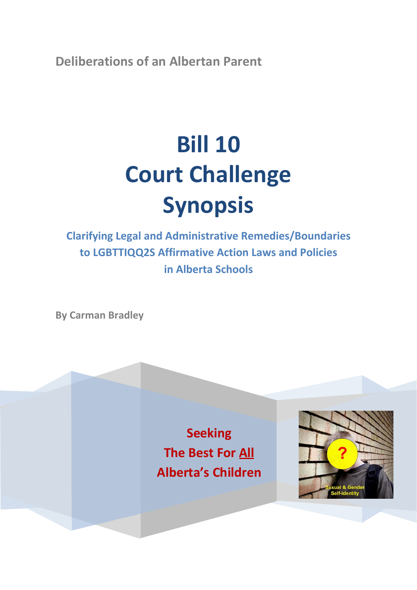**Deliberations of an Albertan Parent**

# **Bill 10 Court Challenge Synopsis**

**Clarifying Legal and Administrative Remedies/Boundaries to LGBTTIQQ2S Affirmative Action Laws and Policies in Alberta Schools**

**By Carman Bradley**

**Seeking The Best For All Alberta's Children**

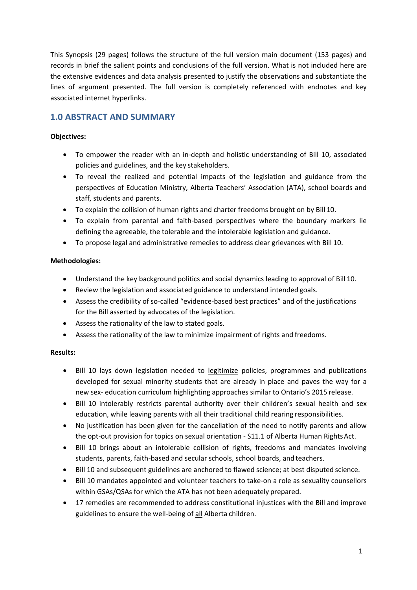This Synopsis (29 pages) follows the structure of the full version main document (153 pages) and records in brief the salient points and conclusions of the full version. What is not included here are the extensive evidences and data analysis presented to justify the observations and substantiate the lines of argument presented. The full version is completely referenced with endnotes and key associated internet hyperlinks.

# **1.0 ABSTRACT AND SUMMARY**

# **Objectives:**

- To empower the reader with an in-depth and holistic understanding of Bill 10, associated policies and guidelines, and the key stakeholders.
- To reveal the realized and potential impacts of the legislation and guidance from the perspectives of Education Ministry, Alberta Teachers' Association (ATA), school boards and staff, students and parents.
- To explain the collision of human rights and charter freedoms brought on by Bill 10.
- To explain from parental and faith-based perspectives where the boundary markers lie defining the agreeable, the tolerable and the intolerable legislation and guidance.
- To propose legal and administrative remedies to address clear grievances with Bill 10.

# **Methodologies:**

- Understand the key background politics and social dynamics leading to approval of Bill 10.
- Review the legislation and associated guidance to understand intended goals.
- Assess the credibility of so-called "evidence-based best practices" and of the justifications for the Bill asserted by advocates of the legislation.
- Assess the rationality of the law to stated goals.
- Assess the rationality of the law to minimize impairment of rights and freedoms.

# **Results:**

- Bill 10 lays down legislation needed to legitimize policies, programmes and publications developed for sexual minority students that are already in place and paves the way for a new sex- education curriculum highlighting approaches similar to Ontario's 2015 release.
- Bill 10 intolerably restricts parental authority over their children's sexual health and sex education, while leaving parents with all their traditional child rearing responsibilities.
- No justification has been given for the cancellation of the need to notify parents and allow the opt-out provision for topics on sexual orientation - S11.1 of Alberta Human Rights Act.
- Bill 10 brings about an intolerable collision of rights, freedoms and mandates involving students, parents, faith-based and secular schools, school boards, and teachers.
- Bill 10 and subsequent guidelines are anchored to flawed science; at best disputed science.
- Bill 10 mandates appointed and volunteer teachers to take-on a role as sexuality counsellors within GSAs/QSAs for which the ATA has not been adequately prepared.
- 17 remedies are recommended to address constitutional injustices with the Bill and improve guidelines to ensure the well-being of all Alberta children.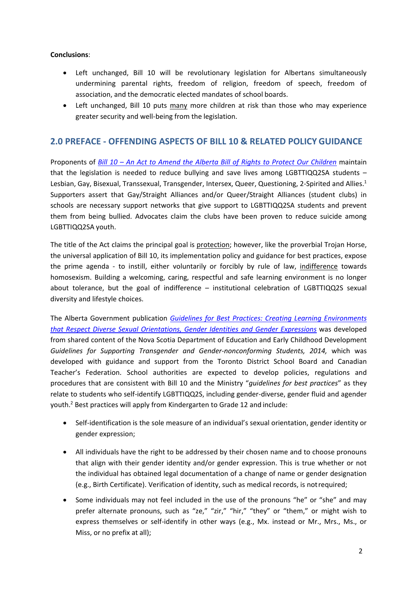#### **Conclusions**:

- Left unchanged, Bill 10 will be revolutionary legislation for Albertans simultaneously undermining parental rights, freedom of religion, freedom of speech, freedom of association, and the democratic elected mandates of school boards.
- Left unchanged, Bill 10 puts many more children at risk than those who may experience greater security and well-being from the legislation.

# **2.0 PREFACE - OFFENDING ASPECTS OF BILL 10 & RELATED POLICY GUIDANCE**

Proponents of *Bill 10 – [An Act to Amend the Alberta Bill of Rights to Protect Our Children](http://www.assembly.ab.ca/ISYS/LADDAR_files/docs/bills/bill/legislature_28/session_3/20141117_bill-010.pdf)* maintain that the legislation is needed to reduce bullying and save lives among LGBTTIQQ2SA students – Lesbian, Gay, Bisexual, Transsexual, Transgender, Intersex, Queer, Questioning, 2-Spirited and Allies.<sup>1</sup> Supporters assert that Gay/Straight Alliances and/or Queer/Straight Alliances (student clubs) in schools are necessary support networks that give support to LGBTTIQQ2SA students and prevent them from being bullied. Advocates claim the clubs have been proven to reduce suicide among LGBTTIQQ2SA youth.

The title of the Act claims the principal goal is protection; however, like the proverbial Trojan Horse, the universal application of Bill 10, its implementation policy and guidance for best practices, expose the prime agenda - to instill, either voluntarily or forcibly by rule of law, indifference towards homosexism. Building a welcoming, caring, respectful and safe learning environment is no longer about tolerance, but the goal of indifference – institutional celebration of LGBTTIQQ2S sexual diversity and lifestyle choices.

The Alberta Government publication *[Guidelines for Best Practices: Creating Learning Environments](https://education.alberta.ca/media/1626737/91383-attachment-1-guidelines-final.pdf) [that Respect Diverse Sexual Orientations, Gender Identities and Gender Expressions](https://education.alberta.ca/media/1626737/91383-attachment-1-guidelines-final.pdf)* was developed from shared content of the Nova Scotia Department of Education and Early Childhood Development *Guidelines for Supporting Transgender and Gender-nonconforming Students, 2014,* which was developed with guidance and support from the Toronto District School Board and Canadian Teacher's Federation. School authorities are expected to develop policies, regulations and procedures that are consistent with Bill 10 and the Ministry "*guidelines for best practices*" as they relate to students who self-identify LGBTTIQQ2S, including gender-diverse, gender fluid and agender youth.2 Best practices will apply from Kindergarten to Grade 12 and include:

- Self-identification is the sole measure of an individual's sexual orientation, gender identity or gender expression;
- All individuals have the right to be addressed by their chosen name and to choose pronouns that align with their gender identity and/or gender expression. This is true whether or not the individual has obtained legal documentation of a change of name or gender designation (e.g., Birth Certificate). Verification of identity, such as medical records, is notrequired;
- Some individuals may not feel included in the use of the pronouns "he" or "she" and may prefer alternate pronouns, such as "ze," "zir," "hir," "they" or "them," or might wish to express themselves or self-identify in other ways (e.g., Mx. instead or Mr., Mrs., Ms., or Miss, or no prefix at all);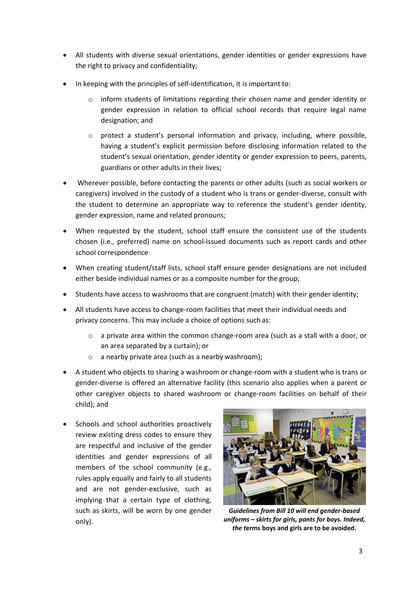- All students with diverse sexual orientations, gender identities or gender expressions have the right to privacy and confidentiality;
- In keeping with the principles of self-identification, it is important to:
	- o inform students of limitations regarding their chosen name and gender identity or gender expression in relation to official school records that require legal name designation; and
	- $\circ$  protect a student's personal information and privacy, including, where possible, having a student's explicit permission before disclosing information related to the student's sexual orientation, gender identity or gender expression to peers, parents, guardians or other adults in their lives;
- Wherever possible, before contacting the parents or other adults (such as social workers or caregivers) involved in the custody of a student who is trans or gender-diverse, consult with the student to determine an appropriate way to reference the student's gender identity, gender expression, name and related pronouns;
- When requested by the student, school staff ensure the consistent use of the students chosen (i.e., preferred) name on school-issued documents such as report cards and other school correspondence
- When creating student/staff lists, school staff ensure gender designations are not included either beside individual names or as a composite number for the group;
- Students have access to washrooms that are congruent (match) with their gender identity;
- All students have access to change-room facilities that meet their individual needs and privacy concerns. This may include a choice of options such as:
	- o a private area within the common change-room area (such as a stall with a door, or an area separated by a curtain); or
	- o a nearby private area (such as a nearby washroom);
- A student who objects to sharing a washroom or change-room with a student who is trans or gender-diverse is offered an alternative facility (this scenario also applies when a parent or other caregiver objects to shared washroom or change-room facilities on behalf of their child); and
- Schools and school authorities proactively review existing dress codes to ensure they are respectful and inclusive of the gender identities and gender expressions of all members of the school community (e.g., rules apply equally and fairly to all students and are not gender-exclusive, such as implying that a certain type of clothing, such as skirts, will be worn by one gender only).



*Guidelines from Bill 10 will end gender-based uniforms – skirts for girls, pants for boys. Indeed, the t***erms boys and girls are to be avoided.**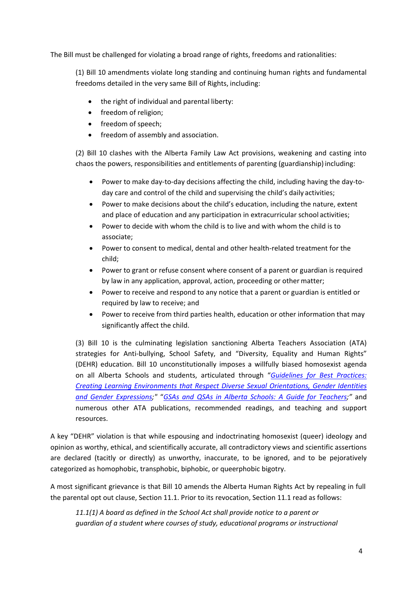The Bill must be challenged for violating a broad range of rights, freedoms and rationalities:

(1) Bill 10 amendments violate long standing and continuing human rights and fundamental freedoms detailed in the very same Bill of Rights, including:

- the right of individual and parental liberty:
- freedom of religion;
- freedom of speech;
- freedom of assembly and association.

(2) Bill 10 clashes with the Alberta Family Law Act provisions, weakening and casting into chaos the powers, responsibilities and entitlements of parenting (guardianship) including:

- Power to make day-to-day decisions affecting the child, including having the day-today care and control of the child and supervising the child's daily activities;
- Power to make decisions about the child's education, including the nature, extent and place of education and any participation in extracurricular school activities;
- Power to decide with whom the child is to live and with whom the child is to associate;
- Power to consent to medical, dental and other health-related treatment for the child;
- Power to grant or refuse consent where consent of a parent or guardian is required by law in any application, approval, action, proceeding or other matter;
- Power to receive and respond to any notice that a parent or guardian is entitled or required by law to receive; and
- Power to receive from third parties health, education or other information that may significantly affect the child.

(3) Bill 10 is the culminating legislation sanctioning Alberta Teachers Association (ATA) strategies for Anti-bullying, School Safety, and "Diversity, Equality and Human Rights" (DEHR) education. Bill 10 unconstitutionally imposes a willfully biased homosexist agenda on all Alberta Schools and students, articulated through "*[Guidelines for Best Practices:](https://education.alberta.ca/media/1626737/91383-attachment-1-guidelines-final.pdf) [Creating Learning Environments that Respect Diverse Sexual Orientations, Gender Identities](https://education.alberta.ca/media/1626737/91383-attachment-1-guidelines-final.pdf) [and Gender Expressions;](https://education.alberta.ca/media/1626737/91383-attachment-1-guidelines-final.pdf)"* "*[GSAs and QSAs in Alberta Schools: A Guide for Teachers;](http://albertagsanetwork.ca/wp-content/uploads/2016/08/GSAs-in-Alberta-Schools-Guide.pdf)"* and numerous other ATA publications, recommended readings, and teaching and support resources.

A key "DEHR" violation is that while espousing and indoctrinating homosexist (queer) ideology and opinion as worthy, ethical, and scientifically accurate, all contradictory views and scientific assertions are declared (tacitly or directly) as unworthy, inaccurate, to be ignored, and to be pejoratively categorized as homophobic, transphobic, biphobic, or queerphobic bigotry.

A most significant grievance is that Bill 10 amends the Alberta Human Rights Act by repealing in full the parental opt out clause, Section 11.1. Prior to its revocation, Section 11.1 read as follows:

*11.1(1) A board as defined in the School Act shall provide notice to a parent or guardian of a student where courses of study, educational programs or instructional*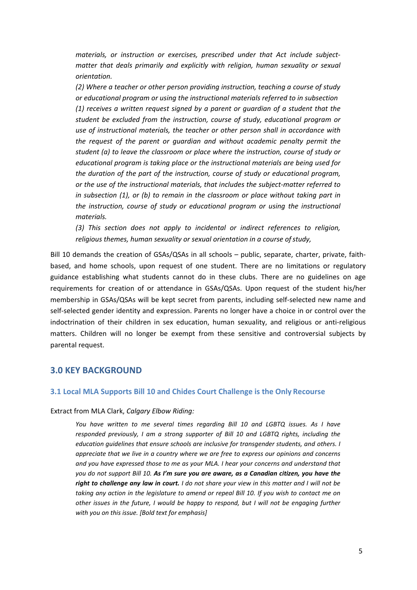*materials, or instruction or exercises, prescribed under that Act include subjectmatter that deals primarily and explicitly with religion, human sexuality or sexual orientation.*

*(2) Where a teacher or other person providing instruction, teaching a course of study or educational program or using the instructional materials referred to in subsection (1) receives a written request signed by a parent or guardian of a student that the student be excluded from the instruction, course of study, educational program or use of instructional materials, the teacher or other person shall in accordance with the request of the parent or guardian and without academic penalty permit the student (a) to leave the classroom or place where the instruction, course of study or educational program is taking place or the instructional materials are being used for the duration of the part of the instruction, course of study or educational program, or the use of the instructional materials, that includes the subject-matter referred to in subsection (1), or (b) to remain in the classroom or place without taking part in the instruction, course of study or educational program or using the instructional materials.*

*(3) This section does not apply to incidental or indirect references to religion, religious themes, human sexuality or sexual orientation in a course ofstudy,*

Bill 10 demands the creation of GSAs/QSAs in all schools – public, separate, charter, private, faithbased, and home schools, upon request of one student. There are no limitations or regulatory guidance establishing what students cannot do in these clubs. There are no guidelines on age requirements for creation of or attendance in GSAs/QSAs. Upon request of the student his/her membership in GSAs/QSAs will be kept secret from parents, including self-selected new name and self-selected gender identity and expression. Parents no longer have a choice in or control over the indoctrination of their children in sex education, human sexuality, and religious or anti-religious matters. Children will no longer be exempt from these sensitive and controversial subjects by parental request.

# **3.0 KEY BACKGROUND**

#### **3.1 Local MLA Supports Bill 10 and Chides Court Challenge is the Only Recourse**

#### Extract from MLA Clark, *Calgary Elbow Riding:*

*You have written to me several times regarding Bill 10 and LGBTQ issues. As I have responded previously, I am a strong supporter of Bill 10 and LGBTQ rights, including the education guidelines that ensure schools are inclusive for transgender students, and others. I appreciate that we live in a country where we are free to express our opinions and concerns and you have expressed those to me as your MLA. I hear your concerns and understand that you do not support Bill 10. As I'm sure you are aware, as a Canadian citizen, you have the right to challenge any law in court. I do not share your view in this matter and I will not be taking any action in the legislature to amend or repeal Bill 10. If you wish to contact me on other issues in the future, I would be happy to respond, but I will not be engaging further with you on this issue. [Bold text for emphasis]*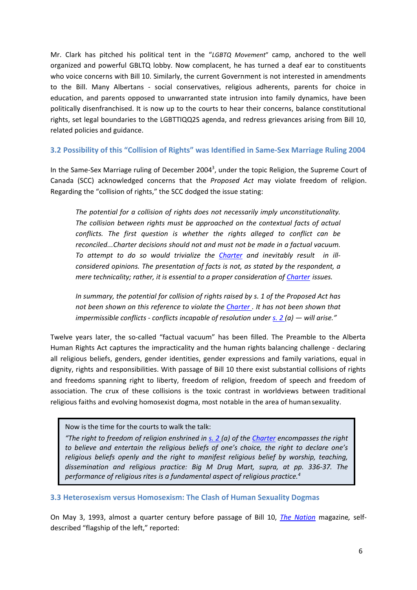Mr. Clark has pitched his political tent in the "*LGBTQ Movement*" camp, anchored to the well organized and powerful GBLTQ lobby. Now complacent, he has turned a deaf ear to constituents who voice concerns with Bill 10. Similarly, the current Government is not interested in amendments to the Bill. Many Albertans - social conservatives, religious adherents, parents for choice in education, and parents opposed to unwarranted state intrusion into family dynamics, have been politically disenfranchised. It is now up to the courts to hear their concerns, balance constitutional rights, set legal boundaries to the LGBTTIQQ2S agenda, and redress grievances arising from Bill 10, related policies and guidance.

## **3.2 Possibility of this "Collision of Rights" was Identified in Same-Sex Marriage Ruling 2004**

In the Same-Sex Marriage ruling of December 2004<sup>3</sup>, under the topic Religion, the Supreme Court of Canada (SCC) acknowledged concerns that the *Proposed Act* may violate freedom of religion. Regarding the "collision of rights," the SCC dodged the issue stating:

*The potential for a collision of rights does not necessarily imply unconstitutionality. The collision between rights must be approached on the contextual facts of actual conflicts. The first question is whether the rights alleged to conflict can be reconciled...Charter decisions should not and must not be made in a factual vacuum. To attempt to do so would trivialize the [Charter](https://zoupio.lexum.com/calegis/schedule-b-to-the-canada-act-1982-uk-1982-c-11-en) and inevitably result in illconsidered opinions. The presentation of facts is not, as stated by the respondent, a mere technicality; rather, it is essential to a proper consideration of [Charter](https://zoupio.lexum.com/calegis/schedule-b-to-the-canada-act-1982-uk-1982-c-11-en) issues.*

*In summary, the potential for collision of rights raised by s. 1 of the Proposed Act has not been shown on this reference to violate the [Charter .](https://zoupio.lexum.com/calegis/schedule-b-to-the-canada-act-1982-uk-1982-c-11-en) It has not been shown that impermissible conflicts - conflicts incapable of resolution under [s. 2 \(](https://zoupio.lexum.com/calegis/schedule-b-to-the-canada-act-1982-uk-1982-c-11-en%23%21fragment/sec2)a) — will arise."*

Twelve years later, the so-called "factual vacuum" has been filled. The Preamble to the Alberta Human Rights Act captures the impracticality and the human rights balancing challenge - declaring all religious beliefs, genders, gender identities, gender expressions and family variations, equal in dignity, rights and responsibilities. With passage of Bill 10 there exist substantial collisions of rights and freedoms spanning right to liberty, freedom of religion, freedom of speech and freedom of association. The crux of these collisions is the toxic contrast in worldviews between traditional religious faiths and evolving homosexist dogma, most notable in the area of humansexuality.

Now is the time for the courts to walk the talk:

*"The right to freedom of religion enshrined in [s. 2 \(](https://zoupio.lexum.com/calegis/schedule-b-to-the-canada-act-1982-uk-1982-c-11-en%23%21fragment/sec2)a) of the [Charter](https://zoupio.lexum.com/calegis/schedule-b-to-the-canada-act-1982-uk-1982-c-11-en) encompasses the right to believe and entertain the religious beliefs of one's choice, the right to declare one's religious beliefs openly and the right to manifest religious belief by worship, teaching, dissemination and religious practice: Big M Drug Mart, supra, at pp. 336-37. The performance of religious rites is a fundamental aspect of religious practice.4*

**3.3 Heterosexism versus Homosexism: The Clash of Human Sexuality Dogmas**

On May 3, 1993, almost a quarter century before passage of Bill 10, *[The Nation](https://en.wikipedia.org/wiki/The_Nation)* magazine*,* selfdescribed "flagship of the left," reported: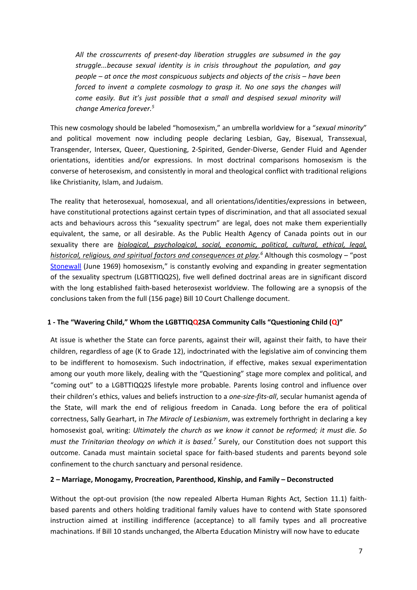*All the crosscurrents of present-day liberation struggles are subsumed in the gay struggle...because sexual identity is in crisis throughout the population, and gay people – at once the most conspicuous subjects and objects of the crisis – have been forced to invent a complete cosmology to grasp it. No one says the changes will come easily. But it's just possible that a small and despised sexual minority will change America forever.5*

This new cosmology should be labeled "homosexism," an umbrella worldview for a "*sexual minority*" and political movement now including people declaring Lesbian, Gay, Bisexual, Transsexual, Transgender, Intersex, Queer, Questioning, 2-Spirited, Gender-Diverse, Gender Fluid and Agender orientations, identities and/or expressions. In most doctrinal comparisons homosexism is the converse of heterosexism, and consistently in moral and theological conflict with traditional religions like Christianity, Islam, and Judaism.

The reality that heterosexual, homosexual, and all orientations/identities/expressions in between, have constitutional protections against certain types of discrimination, and that all associated sexual acts and behaviours across this "sexuality spectrum" are legal, does not make them experientially equivalent, the same, or all desirable. As the Public Health Agency of Canada points out in our sexuality there are *biological, psychological, social, economic, political, cultural, ethical, legal, historical, religious, and spiritual factors and consequences at play. <sup>6</sup>* Although this cosmology – "post [Stonewall](http://www.civilrights.org/archives/2009/06/449-stonewall.html) (June 1969) homosexism," is constantly evolving and expanding in greater segmentation of the sexuality spectrum (LGBTTIQQ2S), five well defined doctrinal areas are in significant discord with the long established faith-based heterosexist worldview. The following are a synopsis of the conclusions taken from the full (156 page) Bill 10 Court Challenge document.

# **1 - The "Wavering Child," Whom the LGBTTIQQ2SA Community Calls "Questioning Child (Q)"**

At issue is whether the State can force parents, against their will, against their faith, to have their children, regardless of age (K to Grade 12), indoctrinated with the legislative aim of convincing them to be indifferent to homosexism. Such indoctrination, if effective, makes sexual experimentation among our youth more likely, dealing with the "Questioning" stage more complex and political, and "coming out" to a LGBTTIQQ2S lifestyle more probable. Parents losing control and influence over their children's ethics, values and beliefs instruction to a *one-size-fits*-*all*, secular humanist agenda of the State, will mark the end of religious freedom in Canada. Long before the era of political correctness, Sally Gearhart, in *The Miracle of Lesbianism*, was extremely forthright in declaring a key homosexist goal, writing: *Ultimately the church as we know it cannot be reformed; it must die. So must the Trinitarian theology on which it is based.7* Surely, our Constitution does not support this outcome. Canada must maintain societal space for faith-based students and parents beyond sole confinement to the church sanctuary and personal residence.

#### **2 – Marriage, Monogamy, Procreation, Parenthood, Kinship, and Family – Deconstructed**

Without the opt-out provision (the now repealed Alberta Human Rights Act, Section 11.1) faithbased parents and others holding traditional family values have to contend with State sponsored instruction aimed at instilling indifference (acceptance) to all family types and all procreative machinations. If Bill 10 stands unchanged, the Alberta Education Ministry will now have to educate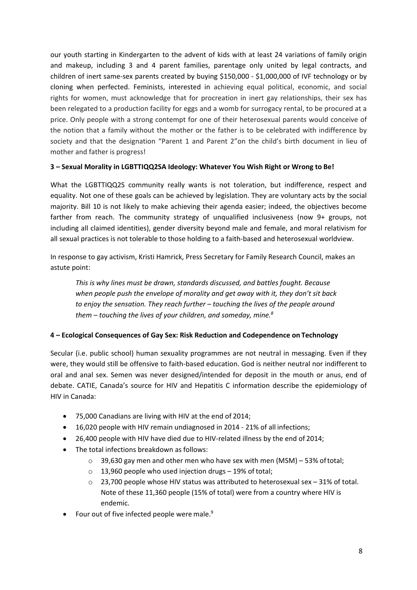our youth starting in Kindergarten to the advent of kids with at least 24 variations of family origin and makeup, including 3 and 4 parent families, parentage only united by legal contracts, and children of inert same-sex parents created by buying \$150,000 - \$1,000,000 of IVF technology or by cloning when perfected. Feminists, interested in achieving equal political, economic, and social rights for women, must acknowledge that for procreation in inert gay relationships, their sex has been relegated to a production facility for eggs and a womb for surrogacy rental, to be procured at a price. Only people with a strong contempt for one of their heterosexual parents would conceive of the notion that a family without the mother or the father is to be celebrated with indifference by society and that the designation "Parent 1 and Parent 2"on the child's birth document in lieu of mother and father is progress!

# **3 – Sexual Morality in LGBTTIQQ2SA Ideology: Whatever You Wish Right or Wrong to Be!**

What the LGBTTIQQ2S community really wants is not toleration, but indifference, respect and equality. Not one of these goals can be achieved by legislation. They are voluntary acts by the social majority. Bill 10 is not likely to make achieving their agenda easier; indeed, the objectives become farther from reach. The community strategy of unqualified inclusiveness (now 9+ groups, not including all claimed identities), gender diversity beyond male and female, and moral relativism for all sexual practices is not tolerable to those holding to a faith-based and heterosexual worldview.

In response to gay activism, Kristi Hamrick, Press Secretary for Family Research Council, makes an astute point:

*This is why lines must be drawn, standards discussed, and battles fought. Because when people push the envelope of morality and get away with it, they don't sit back to enjoy the sensation. They reach further – touching the lives of the people around them – touching the lives of your children, and someday, mine.8*

# **4 – Ecological Consequences of Gay Sex: Risk Reduction and Codependence on Technology**

Secular (i.e. public school) human sexuality programmes are not neutral in messaging. Even if they were, they would still be offensive to faith-based education. God is neither neutral nor indifferent to oral and anal sex. Semen was never designed/intended for deposit in the mouth or anus, end of debate. CATIE, Canada's source for HIV and Hepatitis C information describe the epidemiology of HIV in Canada:

- 75,000 Canadians are living with HIV at the end of 2014;
- 16,020 people with HIV remain undiagnosed in 2014 21% of all infections;
- 26,400 people with HIV have died due to HIV-related illness by the end of 2014;
- The total infections breakdown as follows:
	- o 39,630 gay men and other men who have sex with men (MSM) 53% oftotal;
	- o 13,960 people who used injection drugs 19% of total;
	- o 23,700 people whose HIV status was attributed to heterosexual sex 31% of total. Note of these 11,360 people (15% of total) were from a country where HIV is endemic.
- Four out of five infected people were male.<sup>9</sup>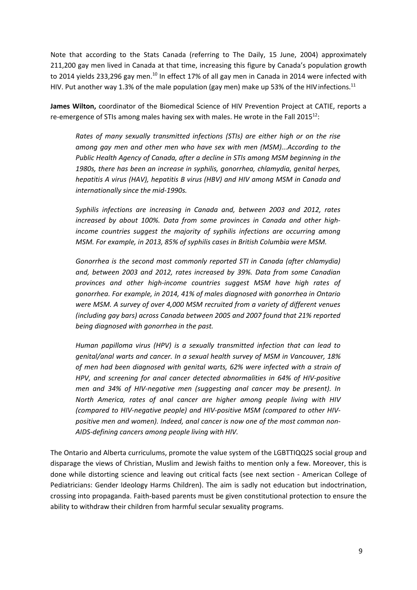Note that according to the Stats Canada (referring to The Daily, 15 June, 2004) approximately 211,200 gay men lived in Canada at that time, increasing this figure by Canada's population growth to 2014 yields 233,296 gay men.<sup>10</sup> In effect 17% of all gay men in Canada in 2014 were infected with HIV. Put another way 1.3% of the male population (gay men) make up 53% of the HIV infections.<sup>11</sup>

**James Wilton,** coordinator of the Biomedical Science of HIV Prevention Project at CATIE, reports a re-emergence of STIs among males having sex with males. He wrote in the Fall  $2015^{12}$ :

*Rates of many sexually transmitted infections (STIs) are either high or on the rise among gay men and other men who have sex with men (MSM)...According to the Public Health Agency of Canada, after a decline in STIs among MSM beginning in the 1980s, there has been an increase in syphilis, gonorrhea, chlamydia, genital herpes, hepatitis A virus (HAV), hepatitis B virus (HBV) and HIV among MSM in Canada and internationally since the mid-1990s.*

*Syphilis infections are increasing in Canada and, between 2003 and 2012, rates increased by about 100%. Data from some provinces in Canada and other highincome countries suggest the majority of syphilis infections are occurring among MSM. For example, in 2013, 85% of syphilis cases in British Columbia were MSM.*

*Gonorrhea is the second most commonly reported STI in Canada (after chlamydia) and, between 2003 and 2012, rates increased by 39%. Data from some Canadian provinces and other high-income countries suggest MSM have high rates of gonorrhea. For example, in 2014, 41% of males diagnosed with gonorrhea in Ontario were MSM. A survey of over 4,000 MSM recruited from a variety of different venues (including gay bars) across Canada between 2005 and 2007 found that 21% reported being diagnosed with gonorrhea in the past.*

*Human papilloma virus (HPV) is a sexually transmitted infection that can lead to genital/anal warts and cancer. In a sexual health survey of MSM in Vancouver, 18% of men had been diagnosed with genital warts, 62% were infected with a strain of HPV, and screening for anal cancer detected abnormalities in 64% of HIV-positive men and 34% of HIV-negative men (suggesting anal cancer may be present). In North America, rates of anal cancer are higher among people living with HIV (compared to HIV-negative people) and HIV-positive MSM (compared to other HIVpositive men and women). Indeed, anal cancer is now one of the most common non-AIDS-defining cancers among people living with HIV.*

The Ontario and Alberta curriculums, promote the value system of the LGBTTIQQ2S social group and disparage the views of Christian, Muslim and Jewish faiths to mention only a few. Moreover, this is done while distorting science and leaving out critical facts (see next section - American College of Pediatricians: Gender Ideology Harms Children). The aim is sadly not education but indoctrination, crossing into propaganda. Faith-based parents must be given constitutional protection to ensure the ability to withdraw their children from harmful secular sexuality programs.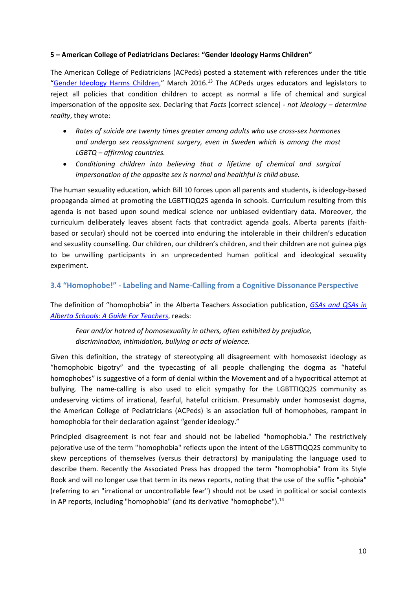#### **5 – American College of Pediatricians Declares: "Gender Ideology Harms Children"**

The American College of Pediatricians (ACPeds) posted a statement with references under the title ["Gender Ideology Harms Children,](https://www.acpeds.org/the-college-speaks/position-statements/gender-ideology-harms-children)" March 2016.<sup>13</sup> The ACPeds urges educators and legislators to reject all policies that condition children to accept as normal a life of chemical and surgical impersonation of the opposite sex. Declaring that *Facts* [correct science] *- not ideology – determine reality*, they wrote:

- *Rates of suicide are twenty times greater among adults who use cross-sex hormones and undergo sex reassignment surgery, even in Sweden which is among the most LGBTQ – affirming countries.*
- *Conditioning children into believing that a lifetime of chemical and surgical impersonation of the opposite sex is normal and healthful is child abuse.*

The human sexuality education, which Bill 10 forces upon all parents and students, is ideology-based propaganda aimed at promoting the LGBTTIQQ2S agenda in schools. Curriculum resulting from this agenda is not based upon sound medical science nor unbiased evidentiary data. Moreover, the curriculum deliberately leaves absent facts that contradict agenda goals. Alberta parents (faithbased or secular) should not be coerced into enduring the intolerable in their children's education and sexuality counselling. Our children, our children's children, and their children are not guinea pigs to be unwilling participants in an unprecedented human political and ideological sexuality experiment.

# **3.4 "Homophobe!" - Labeling and Name-Calling from a Cognitive Dissonance Perspective**

The definition of "homophobia" in the Alberta Teachers Association publication, *[GSAs and QSAs in](https://www.teachers.ab.ca/SiteCollectionDocuments/ATA/Publications/Human-Rights-Issues/PD-80-6_GSA-QSAGuide2015_Web.pdf) [Alberta Schools: A Guide For Teachers](http://albertagsanetwork.ca/wp-content/uploads/2016/08/GSAs-in-Alberta-Schools-Guide.pdf)*, reads:

*Fear and/or hatred of homosexuality in others, often exhibited by prejudice, discrimination, intimidation, bullying or acts of violence.*

Given this definition, the strategy of stereotyping all disagreement with homosexist ideology as "homophobic bigotry" and the typecasting of all people challenging the dogma as "hateful homophobes" is suggestive of a form of denial within the Movement and of a hypocritical attempt at bullying. The name-calling is also used to elicit sympathy for the LGBTTIQQ2S community as undeserving victims of irrational, fearful, hateful criticism. Presumably under homosexist dogma, the American College of Pediatricians (ACPeds) is an association full of homophobes, rampant in homophobia for their declaration against "gender ideology."

Principled disagreement is not fear and should not be labelled "homophobia." The restrictively pejorative use of the term "homophobia" reflects upon the intent of the LGBTTIQQ2S community to skew perceptions of themselves (versus their detractors) by manipulating the language used to describe them. Recently the Associated Press has dropped the term "homophobia" from its Style Book and will no longer use that term in its news reports, noting that the use of the suffix "-phobia" (referring to an "irrational or uncontrollable fear") should not be used in political or social contexts in AP reports, including "homophobia" (and its derivative "homophobe"). $<sup>14</sup>$ </sup>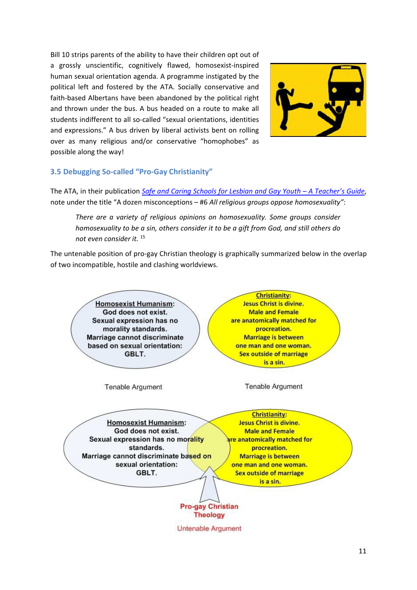Bill 10 strips parents of the ability to have their children opt out of a grossly unscientific, cognitively flawed, homosexist-inspired human sexual orientation agenda. A programme instigated by the political left and fostered by the ATA. Socially conservative and faith-based Albertans have been abandoned by the political right and thrown under the bus. A bus headed on a route to make all students indifferent to all so-called "sexual orientations, identities and expressions." A bus driven by liberal activists bent on rolling over as many religious and/or conservative "homophobes" as possible along the way!



#### **3.5 Debugging So-called "Pro-Gay Christianity"**

The ATA, in their publication *[Safe and Caring Schools for Lesbian and Gay Youth –](https://www.teachers.ab.ca/SiteCollectionDocuments/ATA/For-Members/Professional%20Development/Diversity%2C%20Equity%20and%20Human%20Rights/Safe%20and%20Caring%20Schools%20for%20Lesbian%20and%20Gay%20Youth-%20SACSC.pdf) A Teacher's Guide*, note under the title "A dozen misconceptions – #6 *All religious groups oppose homosexuality"*:

*There are a variety of religious opinions on homosexuality. Some groups consider homosexuality to be a sin, others consider it to be a gift from God, and still others do not even consider it.* <sup>15</sup>

The untenable position of pro-gay Christian theology is graphically summarized below in the overlap of two incompatible, hostile and clashing worldviews.

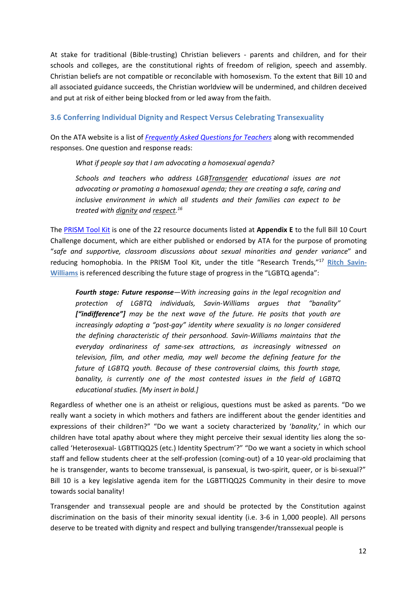At stake for traditional (Bible-trusting) Christian believers - parents and children, and for their schools and colleges, are the constitutional rights of freedom of religion, speech and assembly. Christian beliefs are not compatible or reconcilable with homosexism. To the extent that Bill 10 and all associated guidance succeeds, the Christian worldview will be undermined, and children deceived and put at risk of either being blocked from or led away from the faith.

# **3.6 Conferring Individual Dignity and Respect Versus Celebrating Transexuality**

On the ATA website is a list of *[Frequently Asked Questions for Teachers](https://www.teachers.ab.ca/For%20Members/Professional%20Development/Diversity%20and%20Human%20Rights/Sexual%20Orientation/FAQ/Pages/Frequently%20Asked%20Questions%20for%20Teachers.aspx)* along with recommended responses. One question and response reads:

*What if people say that I am advocating a homosexual agenda?*

*Schools and teachers who address LGBTransgender educational issues are not advocating or promoting a homosexual agenda; they are creating a safe, caring and inclusive environment in which all students and their families can expect to be treated with dignity and respect. 16*

The [PRISM Tool Kit](https://www.teachers.ab.ca/SiteCollectionDocuments/ATA/For%20Members/ProfessionalDevelopment/Diversity-Equity-and-Human-Rights/PD-80-15cPrismToolkitBooklet_Web.pdf) is one of the 22 resource documents listed at **Appendix E** to the full Bill 10 Court Challenge document, which are either published or endorsed by ATA for the purpose of promoting "*safe and supportive, classroom discussions about sexual minorities and gender variance*" and reducing homophobia. In the PRISM Tool Kit, under the title "Research Trends,"17 **[Ritch Savin-](https://en.wikipedia.org/wiki/Ritch_Savin-Williams)[Williams](https://en.wikipedia.org/wiki/Ritch_Savin-Williams)** is referenced describing the future stage of progress in the "LGBTQ agenda":

*Fourth stage: Future response—With increasing gains in the legal recognition and protection of LGBTQ individuals, Savin-Williams argues that "banality" ["indifference"] may be the next wave of the future. He posits that youth are increasingly adopting a "post-gay" identity where sexuality is no longer considered the defining characteristic of their personhood. Savin-Williams maintains that the everyday ordinariness of same-sex attractions, as increasingly witnessed on television, film, and other media, may well become the defining feature for the future of LGBTQ youth. Because of these controversial claims, this fourth stage, banality, is currently one of the most contested issues in the field of LGBTQ educational studies. [My insert in bold.]*

Regardless of whether one is an atheist or religious, questions must be asked as parents. "Do we really want a society in which mothers and fathers are indifferent about the gender identities and expressions of their children?" "Do we want a society characterized by '*banality*,' in which our children have total apathy about where they might perceive their sexual identity lies along the socalled 'Heterosexual- LGBTTIQQ2S (etc.) Identity Spectrum'?" "Do we want a society in which school staff and fellow students cheer at the self-profession (coming-out) of a 10 year-old proclaiming that he is transgender, wants to become transsexual, is pansexual, is two-spirit, queer, or is bi-sexual?" Bill 10 is a key legislative agenda item for the LGBTTIQQ2S Community in their desire to move towards social banality!

Transgender and transsexual people are and should be protected by the Constitution against discrimination on the basis of their minority sexual identity (i.e. 3-6 in 1,000 people). All persons deserve to be treated with dignity and respect and bullying transgender/transsexual people is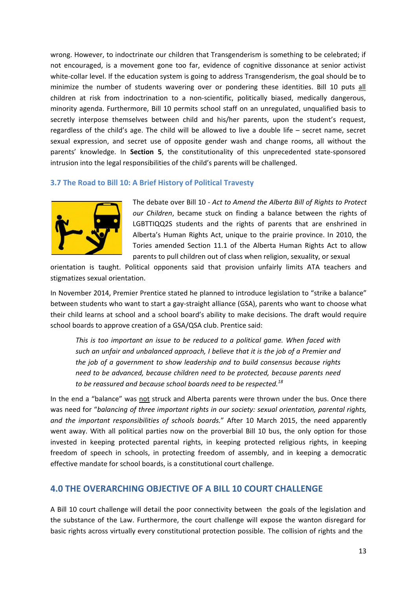wrong. However, to indoctrinate our children that Transgenderism is something to be celebrated; if not encouraged, is a movement gone too far, evidence of cognitive dissonance at senior activist white-collar level. If the education system is going to address Transgenderism, the goal should be to minimize the number of students wavering over or pondering these identities. Bill 10 puts all children at risk from indoctrination to a non-scientific, politically biased, medically dangerous, minority agenda. Furthermore, Bill 10 permits school staff on an unregulated, unqualified basis to secretly interpose themselves between child and his/her parents, upon the student's request, regardless of the child's age. The child will be allowed to live a double life – secret name, secret sexual expression, and secret use of opposite gender wash and change rooms, all without the parents' knowledge. In **Section 5**, the constitutionality of this unprecedented state-sponsored intrusion into the legal responsibilities of the child's parents will be challenged.

#### **3.7 The Road to Bill 10: A Brief History of Political Travesty**



The debate over Bill 10 - *Act to Amend the Alberta Bill of Rights to Protect our Children*, became stuck on finding a balance between the rights of LGBTTIQQ2S students and the rights of parents that are enshrined in Alberta's Human Rights Act, unique to the prairie province. In 2010, the Tories amended Section 11.1 of the Alberta Human Rights Act to allow parents to pull children out of class when religion, sexuality, or sexual

orientation is taught. Political opponents said that provision unfairly limits ATA teachers and stigmatizes sexual orientation.

In November 2014, Premier Prentice stated he planned to introduce legislation to "strike a balance" between students who want to start a gay-straight alliance (GSA), parents who want to choose what their child learns at school and a school board's ability to make decisions. The draft would require school boards to approve creation of a GSA/QSA club. Prentice said:

*This is too important an issue to be reduced to a political game. When faced with such an unfair and unbalanced approach, I believe that it is the job of a Premier and the job of a government to show leadership and to build consensus because rights need to be advanced, because children need to be protected, because parents need to be reassured and because school boards need to be respected.18*

In the end a "balance" was not struck and Alberta parents were thrown under the bus. Once there was need for "*balancing of three important rights in our society: sexual orientation, parental rights, and the important responsibilities of schools boards.*" After 10 March 2015, the need apparently went away. With all political parties now on the proverbial Bill 10 bus, the only option for those invested in keeping protected parental rights, in keeping protected religious rights, in keeping freedom of speech in schools, in protecting freedom of assembly, and in keeping a democratic effective mandate for school boards, is a constitutional court challenge.

# **4.0 THE OVERARCHING OBJECTIVE OF A BILL 10 COURT CHALLENGE**

A Bill 10 court challenge will detail the poor connectivity between the goals of the legislation and the substance of the Law. Furthermore, the court challenge will expose the wanton disregard for basic rights across virtually every constitutional protection possible. The collision of rights and the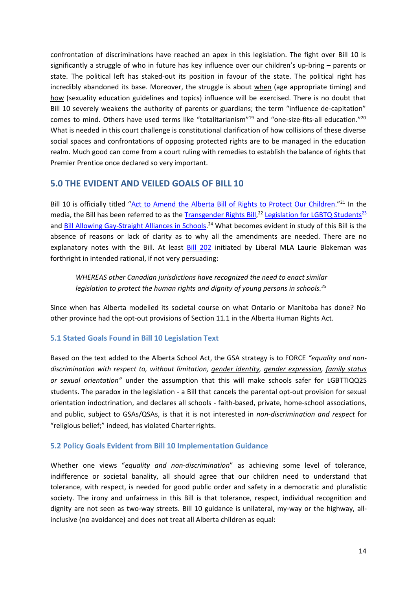confrontation of discriminations have reached an apex in this legislation. The fight over Bill 10 is significantly a struggle of who in future has key influence over our children's up-bring – parents or state. The political left has staked-out its position in favour of the state. The political right has incredibly abandoned its base. Moreover, the struggle is about when (age appropriate timing) and how (sexuality education guidelines and topics) influence will be exercised. There is no doubt that Bill 10 severely weakens the authority of parents or guardians; the term "influence de-capitation" comes to mind. Others have used terms like "totalitarianism"19 and "one-size-fits-all education."20 What is needed in this court challenge is constitutional clarification of how collisions of these diverse social spaces and confrontations of opposing protected rights are to be managed in the education realm. Much good can come from a court ruling with remedies to establish the balance of rights that Premier Prentice once declared so very important.

# **5.0 THE EVIDENT AND VEILED GOALS OF BILL 10**

Bill 10 is officially titled ["Act to Amend the Alberta Bill of Rights to Protect Our Children.](http://www.assembly.ab.ca/ISYS/LADDAR_files/docs/bills/bill/legislature_28/session_3/20141117_bill-010.pdf)"<sup>21</sup> In the media, the Bill has been referred to as the [Transgender Rights Bill,](http://www.ctvnews.ca/canada/protesters-clash-in-alberta-over-transgender-rights-bill-1.2902894)<sup>22</sup> Legislation for LGBTQ Students<sup>23</sup> and [Bill Allowing Gay-Straight Alliances in Schools.](http://www.ctvnews.ca/canada/alberta-passes-bill-allowing-gay-straight-alliances-in-schools-1.2274178)<sup>24</sup> What becomes evident in study of this Bill is the absence of reasons or lack of clarity as to why all the amendments are needed. There are no explanatory notes with the Bill. At least [Bill 202](http://www.assembly.ab.ca/net/index.aspx?p=bills_status&selectbill=202&legl=28&session=3) initiated by Liberal MLA Laurie Blakeman was forthright in intended rational, if not very persuading:

*WHEREAS other Canadian jurisdictions have recognized the need to enact similar legislation to protect the human rights and dignity of young persons in schools.25*

Since when has Alberta modelled its societal course on what Ontario or Manitoba has done? No other province had the opt-out provisions of Section 11.1 in the Alberta Human Rights Act.

# **5.1 Stated Goals Found in Bill 10 Legislation Text**

Based on the text added to the Alberta School Act, the GSA strategy is to FORCE *"equality and nondiscrimination with respect to, without limitation, gender identity, gender expression, family status or sexual orientation"* under the assumption that this will make schools safer for LGBTTIQQ2S students. The paradox in the legislation - a Bill that cancels the parental opt-out provision for sexual orientation indoctrination, and declares all schools - faith-based, private, home-school associations, and public, subject to GSAs/QSAs, is that it is not interested in *non-discrimination and respect* for "religious belief;" indeed, has violated Charter rights.

# **5.2 Policy Goals Evident from Bill 10 Implementation Guidance**

Whether one views "*equality and non-discrimination*" as achieving some level of tolerance, indifference or societal banality, all should agree that our children need to understand that tolerance, with respect, is needed for good public order and safety in a democratic and pluralistic society. The irony and unfairness in this Bill is that tolerance, respect, individual recognition and dignity are not seen as two-way streets. Bill 10 guidance is unilateral, my-way or the highway, allinclusive (no avoidance) and does not treat all Alberta children as equal: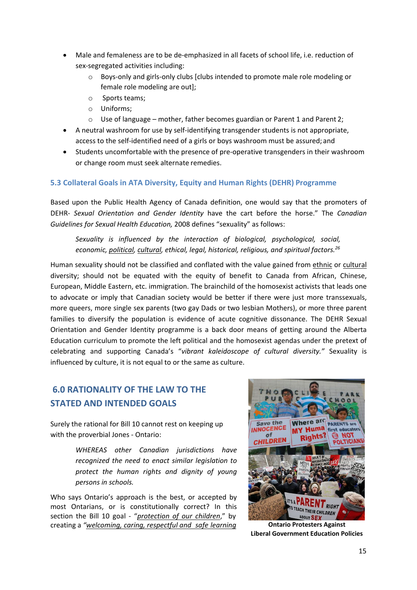- Male and femaleness are to be de-emphasized in all facets of school life, i.e. reduction of sex-segregated activities including:
	- o Boys-only and girls-only clubs [clubs intended to promote male role modeling or female role modeling are out];
	- o Sports teams;
	- o Uniforms;
	- $\circ$  Use of language mother, father becomes guardian or Parent 1 and Parent 2;
- A neutral washroom for use by self-identifying transgender students is not appropriate, access to the self-identified need of a girls or boys washroom must be assured; and
- Students uncomfortable with the presence of pre-operative transgenders in their washroom or change room must seek alternate remedies.

# **5.3 Collateral Goals in ATA Diversity, Equity and Human Rights (DEHR) Programme**

Based upon the Public Health Agency of Canada definition, one would say that the promoters of DEHR- *Sexual Orientation and Gender Identity* have the cart before the horse." The *Canadian Guidelines for Sexual Health Education,* 2008 defines "sexuality" as follows:

*Sexuality is influenced by the interaction of biological, psychological, social, economic, political, cultural, ethical, legal, historical, religious, and spiritual factors.26*

Human sexuality should not be classified and conflated with the value gained from ethnic or cultural diversity; should not be equated with the equity of benefit to Canada from African, Chinese, European, Middle Eastern, etc. immigration. The brainchild of the homosexist activists that leads one to advocate or imply that Canadian society would be better if there were just more transsexuals, more queers, more single sex parents (two gay Dads or two lesbian Mothers), or more three parent families to diversify the population is evidence of acute cognitive dissonance. The DEHR Sexual Orientation and Gender Identity programme is a back door means of getting around the Alberta Education curriculum to promote the left political and the homosexist agendas under the pretext of celebrating and supporting Canada's "*vibrant kaleidoscope of cultural diversity."* Sexuality is influenced by culture, it is not equal to or the same as culture.

# **6.0 RATIONALITY OF THE LAW TO THE STATED AND INTENDED GOALS**

Surely the rational for Bill 10 cannot rest on keeping up with the proverbial Jones - Ontario:

> *WHEREAS other Canadian jurisdictions have recognized the need to enact similar legislation to protect the human rights and dignity of young persons in schools.*

Who says Ontario's approach is the best, or accepted by most Ontarians, or is constitutionally correct? In this section the Bill 10 goal - "*protection of our children*," by creating a *"welcoming, caring, respectful and safe learning* **Ontario Protesters Against**



**Liberal Government Education Policies**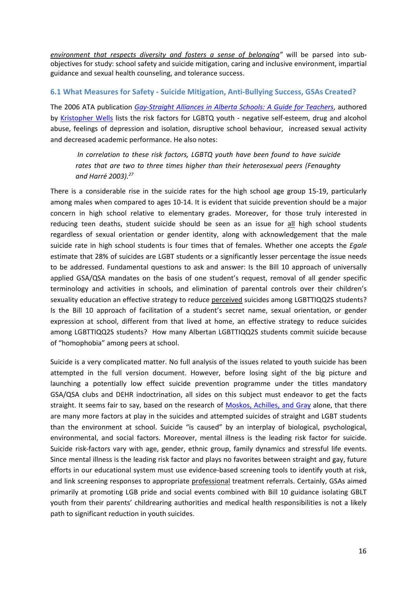*environment that respects diversity and fosters a sense of belonging"* will be parsed into subobjectives for study: school safety and suicide mitigation, caring and inclusive environment, impartial guidance and sexual health counseling, and tolerance success.

# **6.1 What Measures for Safety - Suicide Mitigation, Anti-Bullying Success, GSAs Created?**

The 2006 ATA publication *[Gay-Straight Alliances in Alberta Schools: A Guide for Teachers](https://local26.teachers.ab.ca/SiteCollectionDocuments/15%2001%2008%20attach%20(GayStraight%20Student%20Alliances%20in%20Alberta%20Schools%20A%20Guide%20for%20Teachers).pdf)*, authored by [Kristopher Wells](http://www.ismss.ualberta.ca/KrisWells) lists the risk factors for LGBTQ youth - negative self-esteem, drug and alcohol abuse, feelings of depression and isolation, disruptive school behaviour, increased sexual activity and decreased academic performance. He also notes:

*In correlation to these risk factors, LGBTQ youth have been found to have suicide rates that are two to three times higher than their heterosexual peers (Fenaughty and Harré 2003).27*

There is a considerable rise in the suicide rates for the high school age group 15-19, particularly among males when compared to ages 10-14. It is evident that suicide prevention should be a major concern in high school relative to elementary grades. Moreover, for those truly interested in reducing teen deaths, student suicide should be seen as an issue for all high school students regardless of sexual orientation or gender identity, along with acknowledgement that the male suicide rate in high school students is four times that of females. Whether one accepts the *Egale*  estimate that 28% of suicides are LGBT students or a significantly lesser percentage the issue needs to be addressed. Fundamental questions to ask and answer: Is the Bill 10 approach of universally applied GSA/QSA mandates on the basis of one student's request, removal of all gender specific terminology and activities in schools, and elimination of parental controls over their children's sexuality education an effective strategy to reduce perceived suicides among LGBTTIQQ2S students? Is the Bill 10 approach of facilitation of a student's secret name, sexual orientation, or gender expression at school, different from that lived at home, an effective strategy to reduce suicides among LGBTTIQQ2S students? How many Albertan LGBTTIQQ2S students commit suicide because of "homophobia" among peers at school.

Suicide is a very complicated matter. No full analysis of the issues related to youth suicide has been attempted in the full version document. However, before losing sight of the big picture and launching a potentially low effect suicide prevention programme under the titles mandatory GSA/QSA clubs and DEHR indoctrination, all sides on this subject must endeavor to get the facts straight. It seems fair to say, based on the research of [Moskos, Achilles, and Gray](http://mural.uv.es/aiblasal/Adolescent%20myths%20suicide.pdf) alone, that there are many more factors at play in the suicides and attempted suicides of straight and LGBT students than the environment at school. Suicide "is caused" by an interplay of biological, psychological, environmental, and social factors. Moreover, mental illness is the leading risk factor for suicide. Suicide risk-factors vary with age, gender, ethnic group, family dynamics and stressful life events. Since mental illness is the leading risk factor and plays no favorites between straight and gay, future efforts in our educational system must use evidence-based screening tools to identify youth at risk, and link screening responses to appropriate professional treatment referrals. Certainly, GSAs aimed primarily at promoting LGB pride and social events combined with Bill 10 guidance isolating GBLT youth from their parents' childrearing authorities and medical health responsibilities is not a likely path to significant reduction in youth suicides.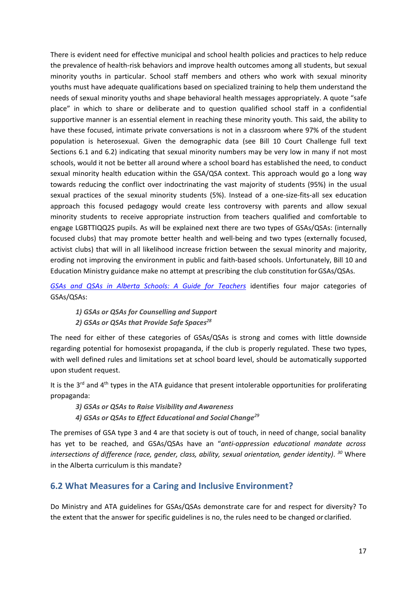There is evident need for effective municipal and school health policies and practices to help reduce the prevalence of health-risk behaviors and improve health outcomes among all students, but sexual minority youths in particular. School staff members and others who work with sexual minority youths must have adequate qualifications based on specialized training to help them understand the needs of sexual minority youths and shape behavioral health messages appropriately. A quote "safe place" in which to share or deliberate and to question qualified school staff in a confidential supportive manner is an essential element in reaching these minority youth. This said, the ability to have these focused, intimate private conversations is not in a classroom where 97% of the student population is heterosexual. Given the demographic data (see Bill 10 Court Challenge full text Sections 6.1 and 6.2) indicating that sexual minority numbers may be very low in many if not most schools, would it not be better all around where a school board has established the need, to conduct sexual minority health education within the GSA/QSA context. This approach would go a long way towards reducing the conflict over indoctrinating the vast majority of students (95%) in the usual sexual practices of the sexual minority students (5%). Instead of a one-size-fits-all sex education approach this focused pedagogy would create less controversy with parents and allow sexual minority students to receive appropriate instruction from teachers qualified and comfortable to engage LGBTTIQQ2S pupils. As will be explained next there are two types of GSAs/QSAs: (internally focused clubs) that may promote better health and well-being and two types (externally focused, activist clubs) that will in all likelihood increase friction between the sexual minority and majority, eroding not improving the environment in public and faith-based schools. Unfortunately, Bill 10 and Education Ministry guidance make no attempt at prescribing the club constitution forGSAs/QSAs.

*[GSAs and QSAs in Alberta Schools: A Guide for Teachers](http://albertagsanetwork.ca/wp-content/uploads/2016/08/GSAs-in-Alberta-Schools-Guide.pdf)* identifies four major categories of GSAs/QSAs:

*1) GSAs or QSAs for Counselling and Support 2) GSAs or QSAs that Provide Safe Spaces<sup>28</sup>*

The need for either of these categories of GSAs/QSAs is strong and comes with little downside regarding potential for homosexist propaganda, if the club is properly regulated. These two types, with well defined rules and limitations set at school board level, should be automatically supported upon student request.

It is the  $3^{rd}$  and  $4^{th}$  types in the ATA guidance that present intolerable opportunities for proliferating propaganda:

*3) GSAs or QSAs to Raise Visibility and Awareness*

*4) GSAs or QSAs to Effect Educational and Social Change<sup>29</sup>*

The premises of GSA type 3 and 4 are that society is out of touch, in need of change, social banality has yet to be reached, and GSAs/QSAs have an "*anti-oppression educational mandate across intersections of difference (race, gender, class, ability, sexual orientation, gender identity)*. *<sup>30</sup>* Where in the Alberta curriculum is this mandate?

# **6.2 What Measures for a Caring and Inclusive Environment?**

Do Ministry and ATA guidelines for GSAs/QSAs demonstrate care for and respect for diversity? To the extent that the answer for specific guidelines is no, the rules need to be changed or clarified.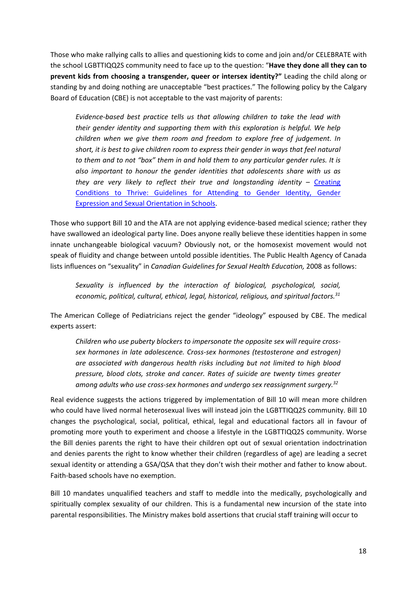Those who make rallying calls to allies and questioning kids to come and join and/or CELEBRATE with the school LGBTTIQQ2S community need to face up to the question: "**Have they done all they can to prevent kids from choosing a transgender, queer or intersex identity?"** Leading the child along or standing by and doing nothing are unacceptable "best practices." The following policy by the Calgary Board of Education (CBE) is not acceptable to the vast majority of parents:

*Evidence-based best practice tells us that allowing children to take the lead with their gender identity and supporting them with this exploration is helpful. We help children when we give them room and freedom to explore free of judgement. In short, it is best to give children room to express their gender in ways that feel natural to them and to not "box" them in and hold them to any particular gender rules. It is also important to honour the gender identities that adolescents share with us as they are very likely to reflect their true and longstanding identity – [Creating](http://www.cbe.ab.ca/about-us/school-culture-and-environment/Documents/Guidelines-Attending-Gender-Identity-Gender-Expression-Sexual-Orientation-Schools.pdf)* [Conditions to Thrive: Guidelines for Attending to Gender Identity, Gender](http://www.cbe.ab.ca/about-us/school-culture-and-environment/Documents/Guidelines-Attending-Gender-Identity-Gender-Expression-Sexual-Orientation-Schools.pdf) [Expression and Sexual Orientation in](http://www.cbe.ab.ca/about-us/school-culture-and-environment/Documents/Guidelines-Attending-Gender-Identity-Gender-Expression-Sexual-Orientation-Schools.pdf) Schools.

Those who support Bill 10 and the ATA are not applying evidence-based medical science; rather they have swallowed an ideological party line. Does anyone really believe these identities happen in some innate unchangeable biological vacuum? Obviously not, or the homosexist movement would not speak of fluidity and change between untold possible identities. The Public Health Agency of Canada lists influences on "sexuality" in *Canadian Guidelines for Sexual Health Education*, 2008 as follows:

*Sexuality is influenced by the interaction of biological, psychological, social, economic, political, cultural, ethical, legal, historical, religious, and spiritual factors.31*

The American College of Pediatricians reject the gender "ideology" espoused by CBE. The medical experts assert:

*Children who use puberty blockers to impersonate the opposite sex will require crosssex hormones in late adolescence. Cross-sex hormones (testosterone and estrogen) are associated with dangerous health risks including but not limited to high blood pressure, blood clots, stroke and cancer. Rates of suicide are twenty times greater among adults who use cross-sex hormones and undergo sex reassignment surgery.32*

Real evidence suggests the actions triggered by implementation of Bill 10 will mean more children who could have lived normal heterosexual lives will instead join the LGBTTIQQ2S community. Bill 10 changes the psychological, social, political, ethical, legal and educational factors all in favour of promoting more youth to experiment and choose a lifestyle in the LGBTTIQQ2S community. Worse the Bill denies parents the right to have their children opt out of sexual orientation indoctrination and denies parents the right to know whether their children (regardless of age) are leading a secret sexual identity or attending a GSA/QSA that they don't wish their mother and father to know about. Faith-based schools have no exemption.

Bill 10 mandates unqualified teachers and staff to meddle into the medically, psychologically and spiritually complex sexuality of our children. This is a fundamental new incursion of the state into parental responsibilities. The Ministry makes bold assertions that crucial staff training will occur to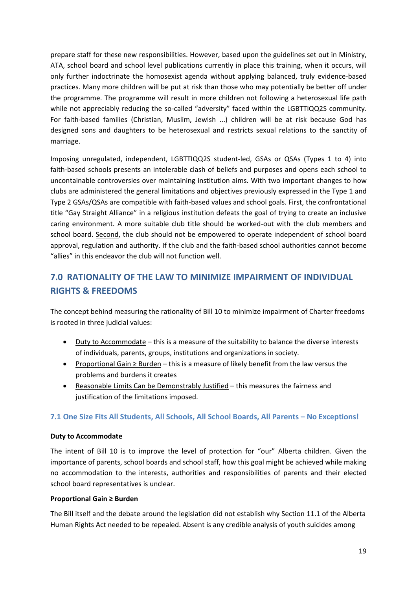prepare staff for these new responsibilities. However, based upon the guidelines set out in Ministry, ATA, school board and school level publications currently in place this training, when it occurs, will only further indoctrinate the homosexist agenda without applying balanced, truly evidence-based practices. Many more children will be put at risk than those who may potentially be better off under the programme. The programme will result in more children not following a heterosexual life path while not appreciably reducing the so-called "adversity" faced within the LGBTTIQQ2S community. For faith-based families (Christian, Muslim, Jewish ...) children will be at risk because God has designed sons and daughters to be heterosexual and restricts sexual relations to the sanctity of marriage.

Imposing unregulated, independent, LGBTTIQQ2S student-led, GSAs or QSAs (Types 1 to 4) into faith-based schools presents an intolerable clash of beliefs and purposes and opens each school to uncontainable controversies over maintaining institution aims. With two important changes to how clubs are administered the general limitations and objectives previously expressed in the Type 1 and Type 2 GSAs/QSAs are compatible with faith-based values and school goals. First, the confrontational title "Gay Straight Alliance" in a religious institution defeats the goal of trying to create an inclusive caring environment. A more suitable club title should be worked-out with the club members and school board. Second, the club should not be empowered to operate independent of school board approval, regulation and authority. If the club and the faith-based school authorities cannot become "allies" in this endeavor the club will not function well.

# **7.0 RATIONALITY OF THE LAW TO MINIMIZE IMPAIRMENT OF INDIVIDUAL RIGHTS & FREEDOMS**

The concept behind measuring the rationality of Bill 10 to minimize impairment of Charter freedoms is rooted in three judicial values:

- Duty to Accommodate this is a measure of the suitability to balance the diverse interests of individuals, parents, groups, institutions and organizations in society.
- Proportional Gain ≥ Burden this is a measure of likely benefit from the law versus the problems and burdens it creates
- Reasonable Limits Can be Demonstrably Justified this measures the fairness and justification of the limitations imposed.

# **7.1 One Size Fits All Students, All Schools, All School Boards, All Parents – No Exceptions!**

#### **Duty to Accommodate**

The intent of Bill 10 is to improve the level of protection for "our" Alberta children. Given the importance of parents, school boards and school staff, how this goal might be achieved while making no accommodation to the interests, authorities and responsibilities of parents and their elected school board representatives is unclear.

#### **Proportional Gain ≥ Burden**

The Bill itself and the debate around the legislation did not establish why Section 11.1 of the Alberta Human Rights Act needed to be repealed. Absent is any credible analysis of youth suicides among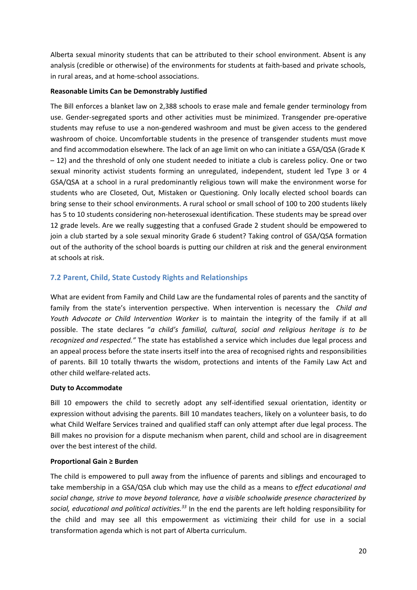Alberta sexual minority students that can be attributed to their school environment. Absent is any analysis (credible or otherwise) of the environments for students at faith-based and private schools, in rural areas, and at home-school associations.

## **Reasonable Limits Can be Demonstrably Justified**

The Bill enforces a blanket law on 2,388 schools to erase male and female gender terminology from use. Gender-segregated sports and other activities must be minimized. Transgender pre-operative students may refuse to use a non-gendered washroom and must be given access to the gendered washroom of choice. Uncomfortable students in the presence of transgender students must move and find accommodation elsewhere. The lack of an age limit on who can initiate a GSA/QSA (Grade K – 12) and the threshold of only one student needed to initiate a club is careless policy. One or two sexual minority activist students forming an unregulated, independent, student led Type 3 or 4 GSA/QSA at a school in a rural predominantly religious town will make the environment worse for students who are Closeted, Out, Mistaken or Questioning. Only locally elected school boards can bring sense to their school environments. A rural school or small school of 100 to 200 students likely has 5 to 10 students considering non-heterosexual identification. These students may be spread over 12 grade levels. Are we really suggesting that a confused Grade 2 student should be empowered to join a club started by a sole sexual minority Grade 6 student? Taking control of GSA/QSA formation out of the authority of the school boards is putting our children at risk and the general environment at schools at risk.

# **7.2 Parent, Child, State Custody Rights and Relationships**

What are evident from Family and Child Law are the fundamental roles of parents and the sanctity of family from the state's intervention perspective. When intervention is necessary the *Child and Youth Advocate or Child Intervention Worker* is to maintain the integrity of the family if at all possible. The state declares "*a child's familial, cultural, social and religious heritage is to be recognized and respected."* The state has established a service which includes due legal process and an appeal process before the state inserts itself into the area of recognised rights and responsibilities of parents. Bill 10 totally thwarts the wisdom, protections and intents of the Family Law Act and other child welfare-related acts.

#### **Duty to Accommodate**

Bill 10 empowers the child to secretly adopt any self-identified sexual orientation, identity or expression without advising the parents. Bill 10 mandates teachers, likely on a volunteer basis, to do what Child Welfare Services trained and qualified staff can only attempt after due legal process. The Bill makes no provision for a dispute mechanism when parent, child and school are in disagreement over the best interest of the child.

# **Proportional Gain ≥ Burden**

The child is empowered to pull away from the influence of parents and siblings and encouraged to take membership in a GSA/QSA club which may use the child as a means to *effect educational and social change, strive to move beyond tolerance, have a visible schoolwide presence characterized by social, educational and political activities.33* In the end the parents are left holding responsibility for the child and may see all this empowerment as victimizing their child for use in a social transformation agenda which is not part of Alberta curriculum.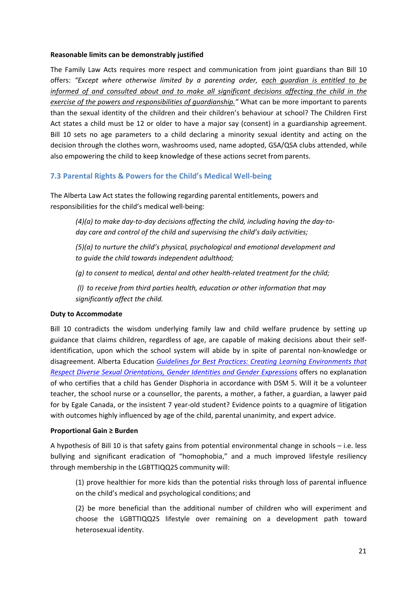#### **Reasonable limits can be demonstrably justified**

The Family Law Acts requires more respect and communication from joint guardians than Bill 10 offers: *"Except where otherwise limited by a parenting order, each guardian is entitled to be informed of and consulted about and to make all significant decisions affecting the child in the exercise of the powers and responsibilities of guardianship."* What can be more important to parents than the sexual identity of the children and their children's behaviour at school? The Children First Act states a child must be 12 or older to have a major say (consent) in a guardianship agreement. Bill 10 sets no age parameters to a child declaring a minority sexual identity and acting on the decision through the clothes worn, washrooms used, name adopted, GSA/QSA clubs attended, while also empowering the child to keep knowledge of these actions secret from parents.

# **7.3 Parental Rights & Powers for the Child's Medical Well-being**

The Alberta Law Act states the following regarding parental entitlements, powers and responsibilities for the child's medical well-being:

*(4)(a) to make day-to-day decisions affecting the child, including having the day-today care and control of the child and supervising the child's daily activities;*

*(5)(a) to nurture the child's physical, psychological and emotional development and to guide the child towards independent adulthood;*

*(g) to consent to medical, dental and other health-related treatment for the child;*

*(l) to receive from third parties health, education or other information that may significantly affect the child.*

# **Duty to Accommodate**

Bill 10 contradicts the wisdom underlying family law and child welfare prudence by setting up guidance that claims children, regardless of age, are capable of making decisions about their selfidentification, upon which the school system will abide by in spite of parental non-knowledge or disagreement. Alberta Education *[Guidelines for Best Practices: Creating Learning Environments that](https://education.alberta.ca/media/1626737/91383-attachment-1-guidelines-final.pdf) [Respect Diverse Sexual Orientations, Gender Identities and Gender Expressions](https://education.alberta.ca/media/1626737/91383-attachment-1-guidelines-final.pdf)* offers no explanation of who certifies that a child has Gender Disphoria in accordance with DSM 5. Will it be a volunteer teacher, the school nurse or a counsellor, the parents, a mother, a father, a guardian, a lawyer paid for by Egale Canada, or the insistent 7 year-old student? Evidence points to a quagmire of litigation with outcomes highly influenced by age of the child, parental unanimity, and expert advice.

#### **Proportional Gain ≥ Burden**

A hypothesis of Bill 10 is that safety gains from potential environmental change in schools – i.e. less bullying and significant eradication of "homophobia," and a much improved lifestyle resiliency through membership in the LGBTTIQQ2S community will:

(1) prove healthier for more kids than the potential risks through loss of parental influence on the child's medical and psychological conditions; and

(2) be more beneficial than the additional number of children who will experiment and choose the LGBTTIQQ2S lifestyle over remaining on a development path toward heterosexual identity.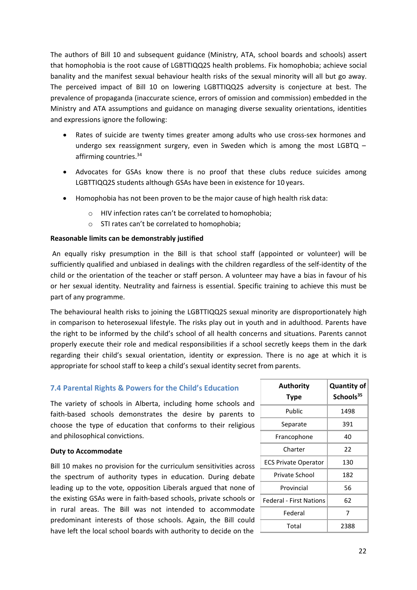The authors of Bill 10 and subsequent guidance (Ministry, ATA, school boards and schools) assert that homophobia is the root cause of LGBTTIQQ2S health problems. Fix homophobia; achieve social banality and the manifest sexual behaviour health risks of the sexual minority will all but go away. The perceived impact of Bill 10 on lowering LGBTTIQQ2S adversity is conjecture at best. The prevalence of propaganda (inaccurate science, errors of omission and commission) embedded in the Ministry and ATA assumptions and guidance on managing diverse sexuality orientations, identities and expressions ignore the following:

- Rates of suicide are twenty times greater among adults who use cross-sex hormones and undergo sex reassignment surgery, even in Sweden which is among the most LGBTQ – affirming countries.<sup>34</sup>
- Advocates for GSAs know there is no proof that these clubs reduce suicides among LGBTTIQQ2S students although GSAs have been in existence for 10 years.
- Homophobia has not been proven to be the major cause of high health risk data:
	- o HIV infection rates can't be correlated to homophobia;
	- o STI rates can't be correlated to homophobia;

#### **Reasonable limits can be demonstrably justified**

An equally risky presumption in the Bill is that school staff (appointed or volunteer) will be sufficiently qualified and unbiased in dealings with the children regardless of the self-identity of the child or the orientation of the teacher or staff person. A volunteer may have a bias in favour of his or her sexual identity. Neutrality and fairness is essential. Specific training to achieve this must be part of any programme.

The behavioural health risks to joining the LGBTTIQQ2S sexual minority are disproportionately high in comparison to heterosexual lifestyle. The risks play out in youth and in adulthood. Parents have the right to be informed by the child's school of all health concerns and situations. Parents cannot properly execute their role and medical responsibilities if a school secretly keeps them in the dark regarding their child's sexual orientation, identity or expression. There is no age at which it is appropriate for school staff to keep a child's sexual identity secret from parents.

#### **7.4 Parental Rights & Powers for the Child's Education**

The variety of schools in Alberta, including home schools and faith-based schools demonstrates the desire by parents to choose the type of education that conforms to their religious and philosophical convictions.

#### **Duty to Accommodate**

Bill 10 makes no provision for the curriculum sensitivities across the spectrum of authority types in education. During debate leading up to the vote, opposition Liberals argued that none of the existing GSAs were in faith-based schools, private schools or in rural areas. The Bill was not intended to accommodate predominant interests of those schools. Again, the Bill could have left the local school boards with authority to decide on the

| <b>Authority</b><br><b>Type</b> | <b>Quantity of</b><br>Schools <sup>35</sup> |
|---------------------------------|---------------------------------------------|
| Public                          | 1498                                        |
| Separate                        | 391                                         |
| Francophone                     | 40                                          |
| Charter                         | 22                                          |
| <b>ECS Private Operator</b>     | 130                                         |
| Private School                  | 182                                         |
| Provincial                      | 56                                          |
| Federal - First Nations         | 62                                          |
| Federal                         | 7                                           |
| Total                           | 2388                                        |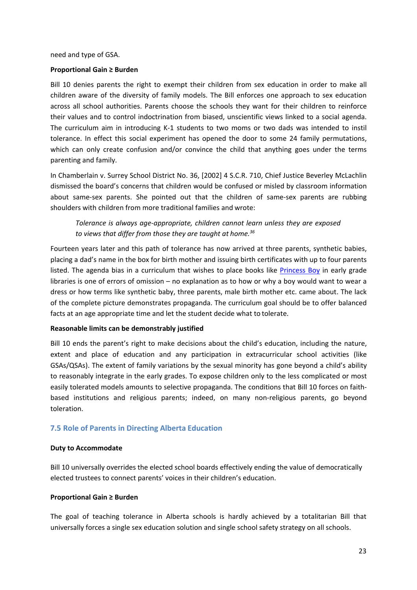need and type of GSA.

#### **Proportional Gain ≥ Burden**

Bill 10 denies parents the right to exempt their children from sex education in order to make all children aware of the diversity of family models. The Bill enforces one approach to sex education across all school authorities. Parents choose the schools they want for their children to reinforce their values and to control indoctrination from biased, unscientific views linked to a social agenda. The curriculum aim in introducing K-1 students to two moms or two dads was intended to instil tolerance. In effect this social experiment has opened the door to some 24 family permutations, which can only create confusion and/or convince the child that anything goes under the terms parenting and family.

In Chamberlain v. Surrey School District No. 36, [2002] 4 S.C.R. 710, Chief Justice Beverley McLachlin dismissed the board's concerns that children would be confused or misled by classroom information about same-sex parents. She pointed out that the children of same-sex parents are rubbing shoulders with children from more traditional families and wrote:

*Tolerance is always age-appropriate, children cannot learn unless they are exposed to views that differ from those they are taught at home.36*

Fourteen years later and this path of tolerance has now arrived at three parents, synthetic babies, placing a dad's name in the box for birth mother and issuing birth certificates with up to four parents listed. The agenda bias in a curriculum that wishes to place books like [Princess Boy](https://www.amazon.ca/My-Princess-Boy-Cheryl-Kilodavis/dp/1442429887) in early grade libraries is one of errors of omission – no explanation as to how or why a boy would want to wear a dress or how terms like synthetic baby, three parents, male birth mother etc. came about. The lack of the complete picture demonstrates propaganda. The curriculum goal should be to offer balanced facts at an age appropriate time and let the student decide what to tolerate.

#### **Reasonable limits can be demonstrably justified**

Bill 10 ends the parent's right to make decisions about the child's education, including the nature, extent and place of education and any participation in extracurricular school activities (like GSAs/QSAs). The extent of family variations by the sexual minority has gone beyond a child's ability to reasonably integrate in the early grades. To expose children only to the less complicated or most easily tolerated models amounts to selective propaganda. The conditions that Bill 10 forces on faithbased institutions and religious parents; indeed, on many non-religious parents, go beyond toleration.

# **7.5 Role of Parents in Directing Alberta Education**

#### **Duty to Accommodate**

Bill 10 universally overrides the elected school boards effectively ending the value of democratically elected trustees to connect parents' voices in their children's education.

#### **Proportional Gain ≥ Burden**

The goal of teaching tolerance in Alberta schools is hardly achieved by a totalitarian Bill that universally forces a single sex education solution and single school safety strategy on all schools.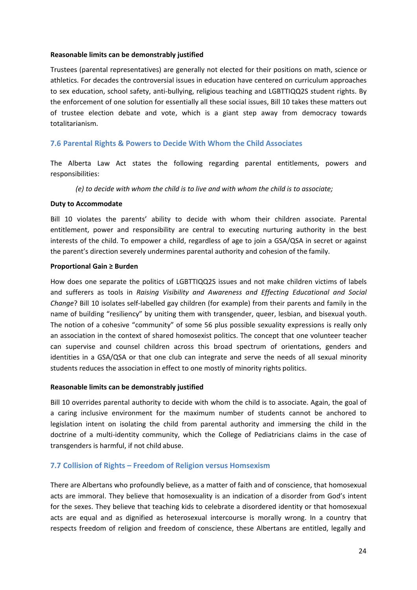#### **Reasonable limits can be demonstrably justified**

Trustees (parental representatives) are generally not elected for their positions on math, science or athletics. For decades the controversial issues in education have centered on curriculum approaches to sex education, school safety, anti-bullying, religious teaching and LGBTTIQQ2S student rights. By the enforcement of one solution for essentially all these social issues, Bill 10 takes these matters out of trustee election debate and vote, which is a giant step away from democracy towards totalitarianism.

# **7.6 Parental Rights & Powers to Decide With Whom the Child Associates**

The Alberta Law Act states the following regarding parental entitlements, powers and responsibilities:

*(e) to decide with whom the child is to live and with whom the child is to associate;*

#### **Duty to Accommodate**

Bill 10 violates the parents' ability to decide with whom their children associate. Parental entitlement, power and responsibility are central to executing nurturing authority in the best interests of the child. To empower a child, regardless of age to join a GSA/QSA in secret or against the parent's direction severely undermines parental authority and cohesion of the family.

#### **Proportional Gain ≥ Burden**

How does one separate the politics of LGBTTIQQ2S issues and not make children victims of labels and sufferers as tools in *Raising Visibility and Awareness and Effecting Educational and Social Change*? Bill 10 isolates self-labelled gay children (for example) from their parents and family in the name of building "resiliency" by uniting them with transgender, queer, lesbian, and bisexual youth. The notion of a cohesive "community" of some 56 plus possible sexuality expressions is really only an association in the context of shared homosexist politics. The concept that one volunteer teacher can supervise and counsel children across this broad spectrum of orientations, genders and identities in a GSA/QSA or that one club can integrate and serve the needs of all sexual minority students reduces the association in effect to one mostly of minority rights politics.

#### **Reasonable limits can be demonstrably justified**

Bill 10 overrides parental authority to decide with whom the child is to associate. Again, the goal of a caring inclusive environment for the maximum number of students cannot be anchored to legislation intent on isolating the child from parental authority and immersing the child in the doctrine of a multi-identity community, which the College of Pediatricians claims in the case of transgenders is harmful, if not child abuse.

#### **7.7 Collision of Rights – Freedom of Religion versus Homsexism**

There are Albertans who profoundly believe, as a matter of faith and of conscience, that homosexual acts are immoral. They believe that homosexuality is an indication of a disorder from God's intent for the sexes. They believe that teaching kids to celebrate a disordered identity or that homosexual acts are equal and as dignified as heterosexual intercourse is morally wrong. In a country that respects freedom of religion and freedom of conscience, these Albertans are entitled, legally and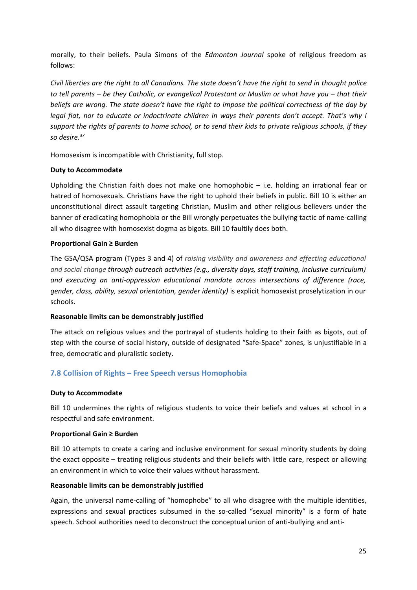morally, to their beliefs. Paula Simons of the *Edmonton Journal* spoke of religious freedom as follows:

*Civil liberties are the right to all Canadians. The state doesn't have the right to send in thought police to tell parents – be they Catholic, or evangelical Protestant or Muslim or what have you – that their beliefs are wrong. The state doesn't have the right to impose the political correctness of the day by legal fiat, nor to educate or indoctrinate children in ways their parents don't accept. That's why I support the rights of parents to home school, or to send their kids to private religious schools, if they so desire.37*

Homosexism is incompatible with Christianity, full stop.

#### **Duty to Accommodate**

Upholding the Christian faith does not make one homophobic – i.e. holding an irrational fear or hatred of homosexuals. Christians have the right to uphold their beliefs in public. Bill 10 is either an unconstitutional direct assault targeting Christian, Muslim and other religious believers under the banner of eradicating homophobia or the Bill wrongly perpetuates the bullying tactic of name-calling all who disagree with homosexist dogma as bigots. Bill 10 faultily does both.

#### **Proportional Gain ≥ Burden**

The GSA/QSA program (Types 3 and 4) of *raising visibility and awareness and effecting educational and social change through outreach activities (e.g., diversity days, staff training, inclusive curriculum) and executing an anti-oppression educational mandate across intersections of difference (race, gender, class, ability, sexual orientation, gender identity)* is explicit homosexist proselytization in our schools*.*

# **Reasonable limits can be demonstrably justified**

The attack on religious values and the portrayal of students holding to their faith as bigots, out of step with the course of social history, outside of designated "Safe-Space" zones, is unjustifiable in a free, democratic and pluralistic society.

# **7.8 Collision of Rights – Free Speech versus Homophobia**

#### **Duty to Accommodate**

Bill 10 undermines the rights of religious students to voice their beliefs and values at school in a respectful and safe environment.

#### **Proportional Gain ≥ Burden**

Bill 10 attempts to create a caring and inclusive environment for sexual minority students by doing the exact opposite – treating religious students and their beliefs with little care, respect or allowing an environment in which to voice their values without harassment.

#### **Reasonable limits can be demonstrably justified**

Again, the universal name-calling of "homophobe" to all who disagree with the multiple identities, expressions and sexual practices subsumed in the so-called "sexual minority" is a form of hate speech. School authorities need to deconstruct the conceptual union of anti-bullying and anti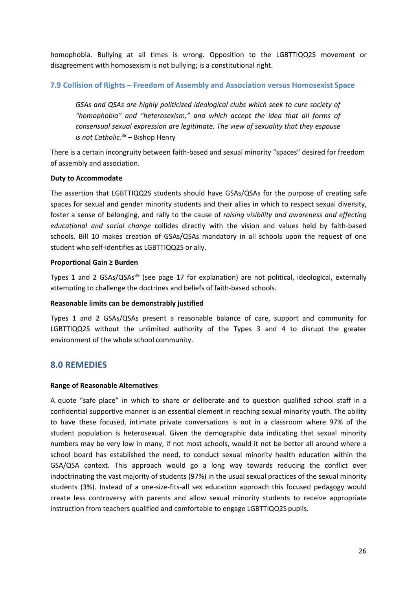homophobia. Bullying at all times is wrong. Opposition to the LGBTTIQQ2S movement or disagreement with homosexism is not bullying; is a constitutional right.

## **7.9 Collision of Rights – Freedom of Assembly and Association versus Homosexist Space**

*GSAs and QSAs are highly politicized ideological clubs which seek to cure society of "homophobia" and "heterosexism," and which accept the idea that all forms of consensual sexual expression are legitimate. The view of sexuality that they espouse is not Catholic.38* – Bishop Henry

There is a certain incongruity between faith-based and sexual minority "spaces" desired for freedom of assembly and association.

#### **Duty to Accommodate**

The assertion that LGBTTIQQ2S students should have GSAs/QSAs for the purpose of creating safe spaces for sexual and gender minority students and their allies in which to respect sexual diversity, foster a sense of belonging, and rally to the cause of *raising visibility and awareness and effecting educational and social change* collides directly with the vision and values held by faith-based schools*.* Bill 10 makes creation of GSAs/QSAs mandatory in all schools upon the request of one student who self-identifies as LGBTTIQQ2S or ally.

#### **Proportional Gain ≥ Burden**

Types 1 and 2 GSAs/QSAs<sup>39</sup> (see page 17 for explanation) are not political, ideological, externally attempting to challenge the doctrines and beliefs of faith-based schools.

#### **Reasonable limits can be demonstrably justified**

Types 1 and 2 GSAs/QSAs present a reasonable balance of care, support and community for LGBTTIQQ2S without the unlimited authority of the Types 3 and 4 to disrupt the greater environment of the whole school community.

# **8.0 REMEDIES**

#### **Range of Reasonable Alternatives**

A quote "safe place" in which to share or deliberate and to question qualified school staff in a confidential supportive manner is an essential element in reaching sexual minority youth. The ability to have these focused, intimate private conversations is not in a classroom where 97% of the student population is heterosexual. Given the demographic data indicating that sexual minority numbers may be very low in many, if not most schools, would it not be better all around where a school board has established the need, to conduct sexual minority health education within the GSA/QSA context. This approach would go a long way towards reducing the conflict over indoctrinating the vast majority of students (97%) in the usual sexual practices of the sexual minority students (3%). Instead of a one-size-fits-all sex education approach this focused pedagogy would create less controversy with parents and allow sexual minority students to receive appropriate instruction from teachers qualified and comfortable to engage LGBTTIQQ2S pupils.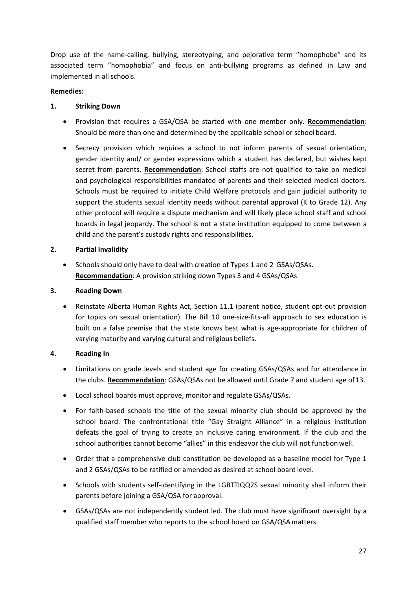Drop use of the name-calling, bullying, stereotyping, and pejorative term "homophobe" and its associated term "homophobia" and focus on anti-bullying programs as defined in Law and implemented in all schools.

# **Remedies:**

# **1. Striking Down**

- Provision that requires a GSA/QSA be started with one member only. **Recommendation**: Should be more than one and determined by the applicable school or school board.
- Secrecy provision which requires a school to not inform parents of sexual orientation, gender identity and/ or gender expressions which a student has declared, but wishes kept secret from parents. **Recommendation**: School staffs are not qualified to take on medical and psychological responsibilities mandated of parents and their selected medical doctors. Schools must be required to initiate Child Welfare protocols and gain judicial authority to support the students sexual identity needs without parental approval (K to Grade 12). Any other protocol will require a dispute mechanism and will likely place school staff and school boards in legal jeopardy. The school is not a state institution equipped to come between a child and the parent's custody rights and responsibilities.

# **2. Partial Invalidity**

• Schools should only have to deal with creation of Types 1 and 2 GSAs/QSAs. **Recommendation**: A provision striking down Types 3 and 4 GSAs/QSAs

# **3. Reading Down**

• Reinstate Alberta Human Rights Act, Section 11.1 (parent notice, student opt-out provision for topics on sexual orientation). The Bill 10 one-size-fits-all approach to sex education is built on a false premise that the state knows best what is age-appropriate for children of varying maturity and varying cultural and religious beliefs.

# **4. Reading In**

- Limitations on grade levels and student age for creating GSAs/QSAs and for attendance in the clubs. **Recommendation**: GSAs/QSAs not be allowed until Grade 7 and student age of13.
- Local school boards must approve, monitor and regulate GSAs/QSAs.
- For faith-based schools the title of the sexual minority club should be approved by the school board. The confrontational title "Gay Straight Alliance" in a religious institution defeats the goal of trying to create an inclusive caring environment. If the club and the school authorities cannot become "allies" in this endeavor the club will not function well.
- Order that a comprehensive club constitution be developed as a baseline model for Type 1 and 2 GSAs/QSAs to be ratified or amended as desired at school board level.
- Schools with students self-identifying in the LGBTTIQQ2S sexual minority shall inform their parents before joining a GSA/QSA for approval.
- GSAs/QSAs are not independently student led. The club must have significant oversight by a qualified staff member who reports to the school board on GSA/QSAmatters.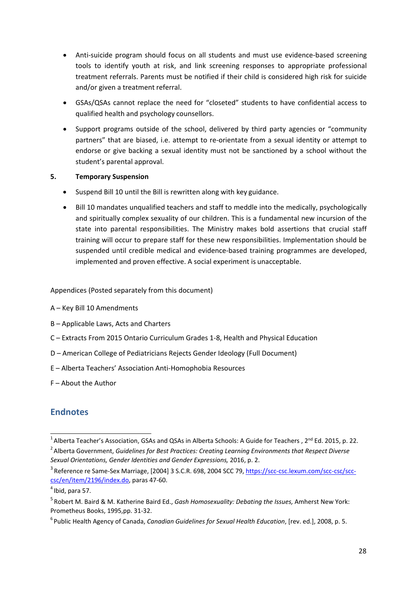- Anti-suicide program should focus on all students and must use evidence-based screening tools to identify youth at risk, and link screening responses to appropriate professional treatment referrals. Parents must be notified if their child is considered high risk for suicide and/or given a treatment referral.
- GSAs/QSAs cannot replace the need for "closeted" students to have confidential access to qualified health and psychology counsellors.
- Support programs outside of the school, delivered by third party agencies or "community partners" that are biased, i.e. attempt to re-orientate from a sexual identity or attempt to endorse or give backing a sexual identity must not be sanctioned by a school without the student's parental approval.

# **5. Temporary Suspension**

- Suspend Bill 10 until the Bill is rewritten along with key guidance.
- Bill 10 mandates unqualified teachers and staff to meddle into the medically, psychologically and spiritually complex sexuality of our children. This is a fundamental new incursion of the state into parental responsibilities. The Ministry makes bold assertions that crucial staff training will occur to prepare staff for these new responsibilities. Implementation should be suspended until credible medical and evidence-based training programmes are developed, implemented and proven effective. A social experiment is unacceptable.

Appendices (Posted separately from this document)

- A Key Bill 10 Amendments
- B Applicable Laws, Acts and Charters
- C Extracts From 2015 Ontario Curriculum Grades 1-8, Health and Physical Education
- D American College of Pediatricians Rejects Gender Ideology (Full Document)
- E Alberta Teachers' Association Anti-Homophobia Resources
- F About the Author

# **Endnotes**

<sup>&</sup>lt;sup>1</sup> Alberta Teacher's Association, GSAs and QSAs in Alberta Schools: A Guide for Teachers , 2<sup>nd</sup> Ed. 2015, p. 22. <sup>2</sup> Alberta Government, *Guidelines for Best Practices: Creating Learning Environments that Respect Diverse Sexual Orientations, Gender Identities and Gender Expressions,* 2016, p. 2.

<sup>&</sup>lt;sup>3</sup> Reference re Same-Sex Marriage, [2004] 3 S.C.R. 698, 2004 SCC 79, [https://scc-csc.lexum.com/scc-csc/scc](https://scc-csc.lexum.com/scc-csc/scc-csc/en/item/2196/index.do)[csc/en/item/2196/index.do, p](https://scc-csc.lexum.com/scc-csc/scc-csc/en/item/2196/index.do)aras 47-60.

 $<sup>4</sup>$  Ibid, para 57.</sup>

<sup>5</sup> Robert M. Baird & M. Katherine Baird Ed., *Gash Homosexuality: Debating the Issues,* Amherst New York: Prometheus Books, 1995.pp. 31-32.

<sup>6</sup> Public Health Agency of Canada, *Canadian Guidelines for Sexual Health Education*, [rev. ed.], 2008, p. 5.